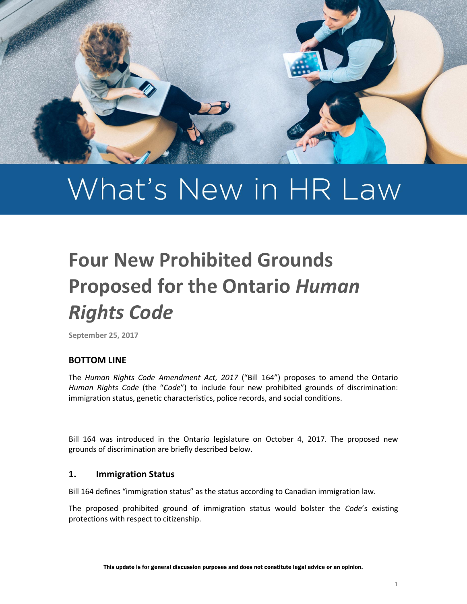

# What's New in HR Law

## **Four New Prohibited Grounds Proposed for the Ontario** *Human Rights Code*

**September 25, 2017**

#### **BOTTOM LINE**

The *Human Rights Code Amendment Act, 2017* ("Bill 164") proposes to amend the Ontario *Human Rights Code* (the "*Code*") to include four new prohibited grounds of discrimination: immigration status, genetic characteristics, police records, and social conditions.

Bill 164 was introduced in the Ontario legislature on October 4, 2017. The proposed new grounds of discrimination are briefly described below.

#### **1. Immigration Status**

Bill 164 defines "immigration status" as the status according to Canadian immigration law.

The proposed prohibited ground of immigration status would bolster the *Code*'s existing protections with respect to citizenship.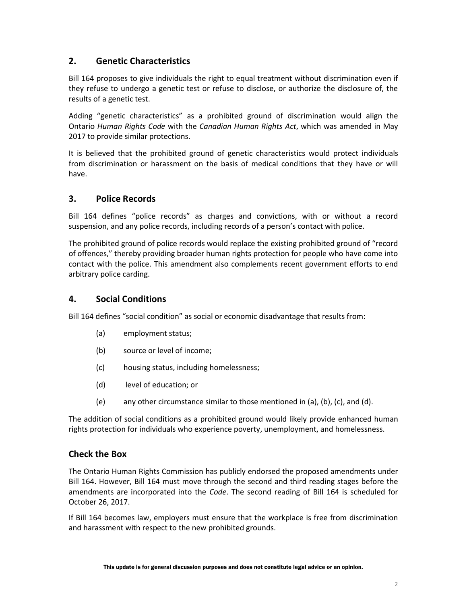### **2. Genetic Characteristics**

Bill 164 proposes to give individuals the right to equal treatment without discrimination even if they refuse to undergo a genetic test or refuse to disclose, or authorize the disclosure of, the results of a genetic test.

Adding "genetic characteristics" as a prohibited ground of discrimination would align the Ontario *Human Rights Code* with the *Canadian Human Rights Act*, which was amended in May 2017 to provide similar protections.

It is believed that the prohibited ground of genetic characteristics would protect individuals from discrimination or harassment on the basis of medical conditions that they have or will have.

#### **3. Police Records**

Bill 164 defines "police records" as charges and convictions, with or without a record suspension, and any police records, including records of a person's contact with police.

The prohibited ground of police records would replace the existing prohibited ground of "record of offences," thereby providing broader human rights protection for people who have come into contact with the police. This amendment also complements recent government efforts to end arbitrary police carding.

#### **4. Social Conditions**

Bill 164 defines "social condition" as social or economic disadvantage that results from:

- (a) employment status;
- (b) source or level of income;
- (c) housing status, including homelessness;
- (d) level of education; or
- (e) any other circumstance similar to those mentioned in (a), (b), (c), and (d).

The addition of social conditions as a prohibited ground would likely provide enhanced human rights protection for individuals who experience poverty, unemployment, and homelessness.

#### **Check the Box**

The Ontario Human Rights Commission has publicly endorsed the proposed amendments under Bill 164. However, Bill 164 must move through the second and third reading stages before the amendments are incorporated into the *Code*. The second reading of Bill 164 is scheduled for October 26, 2017.

If Bill 164 becomes law, employers must ensure that the workplace is free from discrimination and harassment with respect to the new prohibited grounds.